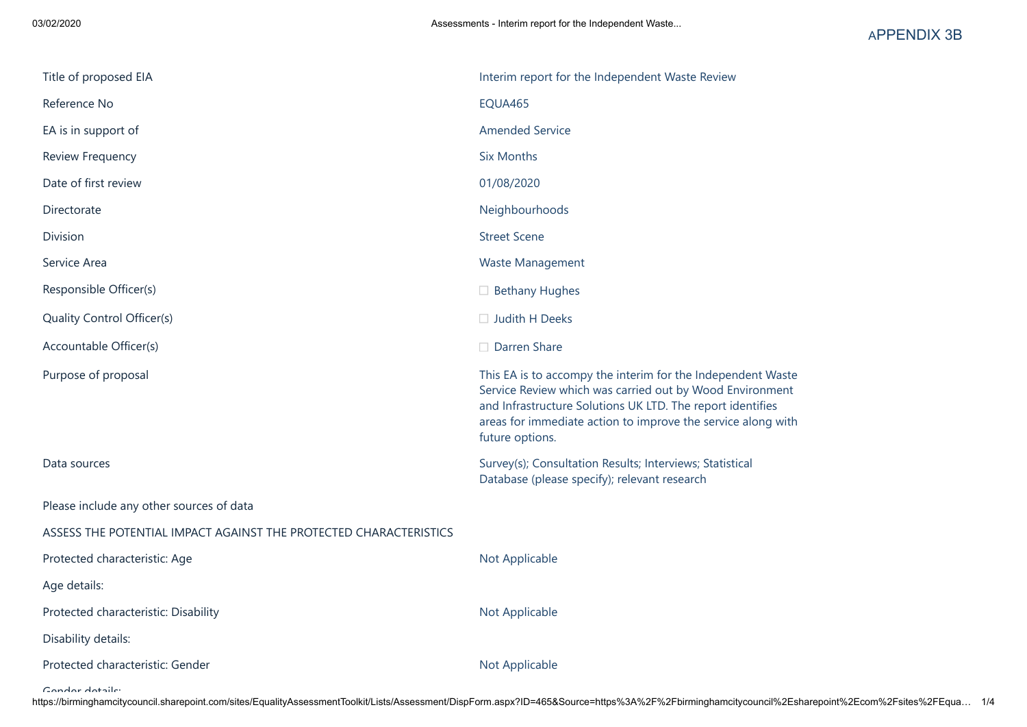| Title of proposed EIA                                             | Interim report for the Independent Waste Review                                                                                                                                                                                                                          |
|-------------------------------------------------------------------|--------------------------------------------------------------------------------------------------------------------------------------------------------------------------------------------------------------------------------------------------------------------------|
| Reference No                                                      | EQUA465                                                                                                                                                                                                                                                                  |
| EA is in support of                                               | <b>Amended Service</b>                                                                                                                                                                                                                                                   |
| Review Frequency                                                  | <b>Six Months</b>                                                                                                                                                                                                                                                        |
| Date of first review                                              | 01/08/2020                                                                                                                                                                                                                                                               |
| Directorate                                                       | Neighbourhoods                                                                                                                                                                                                                                                           |
| Division                                                          | <b>Street Scene</b>                                                                                                                                                                                                                                                      |
| Service Area                                                      | Waste Management                                                                                                                                                                                                                                                         |
| Responsible Officer(s)                                            | $\Box$ Bethany Hughes                                                                                                                                                                                                                                                    |
| Quality Control Officer(s)                                        | $\Box$ Judith H Deeks                                                                                                                                                                                                                                                    |
| Accountable Officer(s)                                            | $\Box$ Darren Share                                                                                                                                                                                                                                                      |
| Purpose of proposal                                               | This EA is to accompy the interim for the Independent Waste<br>Service Review which was carried out by Wood Environment<br>and Infrastructure Solutions UK LTD. The report identifies<br>areas for immediate action to improve the service along with<br>future options. |
| Data sources                                                      | Survey(s); Consultation Results; Interviews; Statistical<br>Database (please specify); relevant research                                                                                                                                                                 |
| Please include any other sources of data                          |                                                                                                                                                                                                                                                                          |
| ASSESS THE POTENTIAL IMPACT AGAINST THE PROTECTED CHARACTERISTICS |                                                                                                                                                                                                                                                                          |
| Protected characteristic: Age                                     | Not Applicable                                                                                                                                                                                                                                                           |
| Age details:                                                      |                                                                                                                                                                                                                                                                          |
| Protected characteristic: Disability                              | Not Applicable                                                                                                                                                                                                                                                           |
| Disability details:                                               |                                                                                                                                                                                                                                                                          |
| Protected characteristic: Gender                                  | Not Applicable                                                                                                                                                                                                                                                           |

Gender details: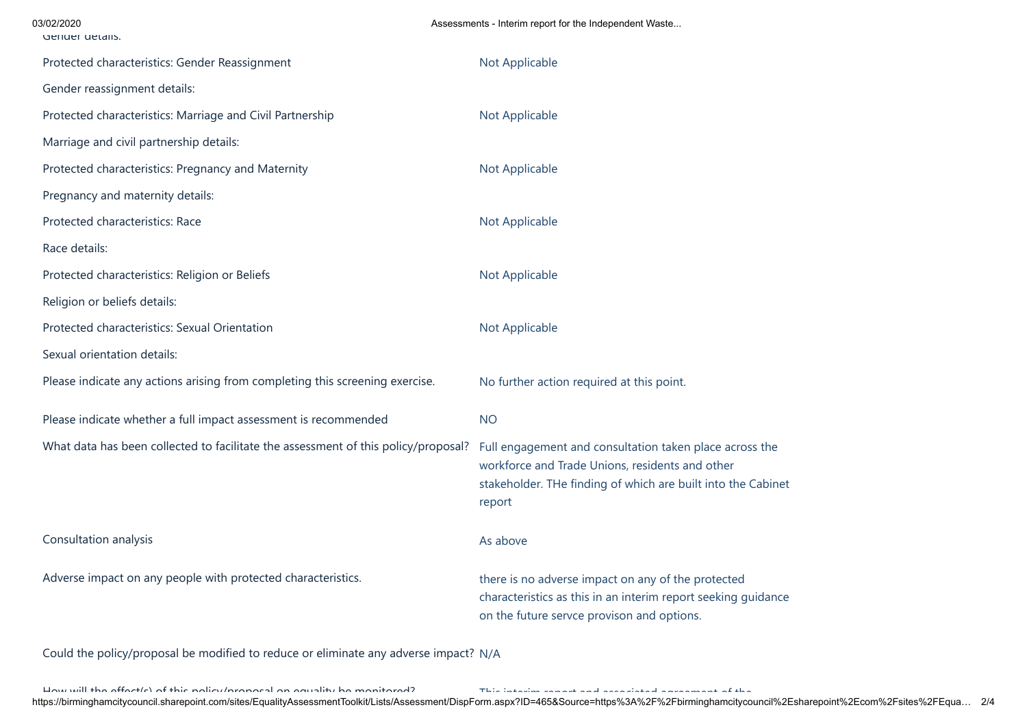| 03/02/2020<br>Genuer details.                                                      | Assessments - Interim report for the Independent Waste                                                                                                                               |
|------------------------------------------------------------------------------------|--------------------------------------------------------------------------------------------------------------------------------------------------------------------------------------|
| Protected characteristics: Gender Reassignment                                     | Not Applicable                                                                                                                                                                       |
| Gender reassignment details:                                                       |                                                                                                                                                                                      |
| Protected characteristics: Marriage and Civil Partnership                          | Not Applicable                                                                                                                                                                       |
| Marriage and civil partnership details:                                            |                                                                                                                                                                                      |
| Protected characteristics: Pregnancy and Maternity                                 | Not Applicable                                                                                                                                                                       |
| Pregnancy and maternity details:                                                   |                                                                                                                                                                                      |
| Protected characteristics: Race                                                    | Not Applicable                                                                                                                                                                       |
| Race details:                                                                      |                                                                                                                                                                                      |
| Protected characteristics: Religion or Beliefs                                     | Not Applicable                                                                                                                                                                       |
| Religion or beliefs details:                                                       |                                                                                                                                                                                      |
| Protected characteristics: Sexual Orientation                                      | Not Applicable                                                                                                                                                                       |
| Sexual orientation details:                                                        |                                                                                                                                                                                      |
| Please indicate any actions arising from completing this screening exercise.       | No further action required at this point.                                                                                                                                            |
| Please indicate whether a full impact assessment is recommended                    | <b>NO</b>                                                                                                                                                                            |
| What data has been collected to facilitate the assessment of this policy/proposal? | Full engagement and consultation taken place across the<br>workforce and Trade Unions, residents and other<br>stakeholder. THe finding of which are built into the Cabinet<br>report |
| Consultation analysis                                                              | As above                                                                                                                                                                             |
| Adverse impact on any people with protected characteristics.                       | there is no adverse impact on any of the protected<br>characteristics as this in an interim report seeking guidance<br>on the future servce provison and options.                    |

Could the policy/proposal be modified to reduce or eliminate any adverse impact? N/A

ے اور میں اس کے میں کے اس کے میں کہ اس کے میں کہ اس کے اس کے اس کے اس کے اس کے اس کے اس کے اس کا اس کے اس کے ا<br>https://birminghamcitycouncil.sharepoint.com/sites/EqualityAssessmentToolkit/Lists/Assessment/DispForm.aspx?ID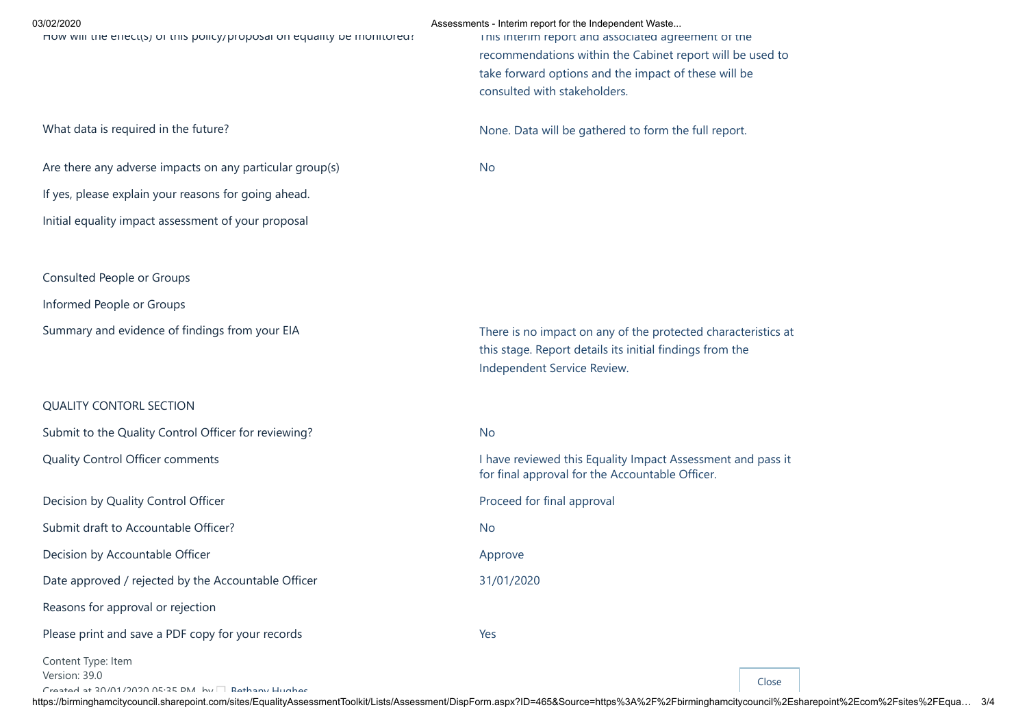| 03/02/2020<br>How will the effect(s) or this policy/proposal on equality be monitored: | Assessments - Interim report for the Independent Waste<br>inis interim report and associated agreement of the<br>recommendations within the Cabinet report will be used to<br>take forward options and the impact of these will be<br>consulted with stakeholders. |
|----------------------------------------------------------------------------------------|--------------------------------------------------------------------------------------------------------------------------------------------------------------------------------------------------------------------------------------------------------------------|
| What data is required in the future?                                                   | None. Data will be gathered to form the full report.                                                                                                                                                                                                               |
| Are there any adverse impacts on any particular group(s)                               | No                                                                                                                                                                                                                                                                 |
| If yes, please explain your reasons for going ahead.                                   |                                                                                                                                                                                                                                                                    |
| Initial equality impact assessment of your proposal                                    |                                                                                                                                                                                                                                                                    |
|                                                                                        |                                                                                                                                                                                                                                                                    |
| Consulted People or Groups                                                             |                                                                                                                                                                                                                                                                    |
| Informed People or Groups                                                              |                                                                                                                                                                                                                                                                    |
| Summary and evidence of findings from your EIA                                         | There is no impact on any of the protected characteristics at<br>this stage. Report details its initial findings from the<br>Independent Service Review.                                                                                                           |
| <b>QUALITY CONTORL SECTION</b>                                                         |                                                                                                                                                                                                                                                                    |
| Submit to the Quality Control Officer for reviewing?                                   | <b>No</b>                                                                                                                                                                                                                                                          |
| Quality Control Officer comments                                                       | I have reviewed this Equality Impact Assessment and pass it<br>for final approval for the Accountable Officer.                                                                                                                                                     |
| Decision by Quality Control Officer                                                    | Proceed for final approval                                                                                                                                                                                                                                         |
| Submit draft to Accountable Officer?                                                   | <b>No</b>                                                                                                                                                                                                                                                          |
| Decision by Accountable Officer                                                        | Approve                                                                                                                                                                                                                                                            |
| Date approved / rejected by the Accountable Officer                                    | 31/01/2020                                                                                                                                                                                                                                                         |
| Reasons for approval or rejection                                                      |                                                                                                                                                                                                                                                                    |
| Please print and save a PDF copy for your records                                      | Yes                                                                                                                                                                                                                                                                |
| Content Type: Item<br>Version: 39.0                                                    |                                                                                                                                                                                                                                                                    |

 $\overline{C}$ reated at 30/01/3030 05:35 DM by  $\Box$  Bathany Hughes

https://birminghamcitycouncil.sharepoint.com/sites/EqualityAssessmentToolkit/Lists/Assessment/DispForm.aspx?ID=465&Source=https%3A%2F%2Fbirminghamcitycouncil%2Esharepoint%2Ecom%2Fsites%2FEqua… 3/4

Close